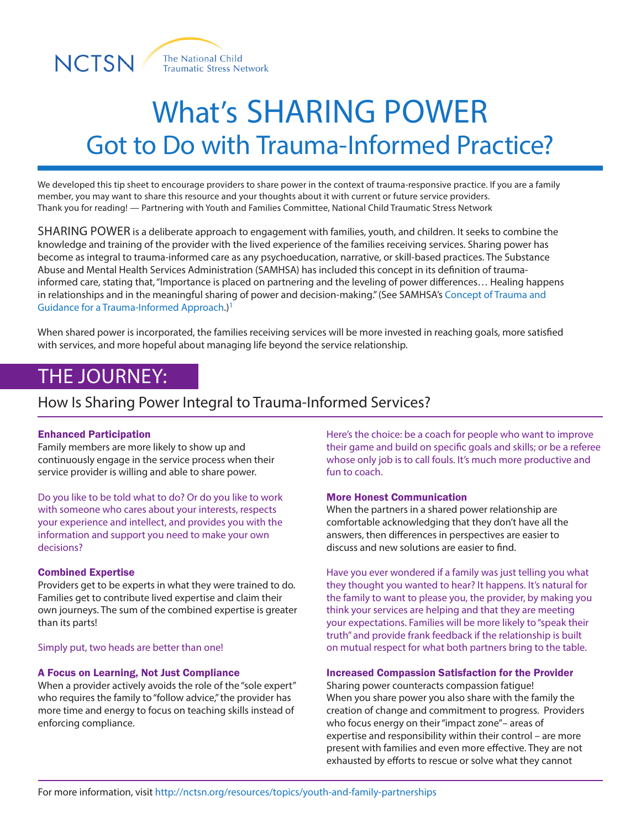



# What's SHARING POWER Got to Do with Trauma-Informed Practice?

We developed this tip sheet to encourage providers to share power in the context of trauma-responsive practice. If you are a family member, you may want to share this resource and your thoughts about it with current or future service providers. Thank you for reading! — Partnering with Youth and Families Committee, National Child Traumatic Stress Network

SHARING POWER is a deliberate approach to engagement with families, youth, and children. It seeks to combine the knowledge and training of the provider with the lived experience of the families receiving services. Sharing power has become as integral to trauma-informed care as any psychoeducation, narrative, or skill-based practices. The Substance Abuse and Mental Health Services Administration (SAMHSA) has included this concept in its definition of traumainformed care, stating that, "Importance is placed on partnering and the leveling of power differences… Healing happens in relationships and in the meaningful sharing of power and decision-making." (See SAMHSA's Concept of Trauma and Guidance for a Trauma-Informed Approach.)1

When shared power is incorporated, the families receiving services will be more invested in reaching goals, more satisfied with services, and more hopeful about managing life beyond the service relationship.

# THE JOURNEY:

### How Is Sharing Power Integral to Trauma-Informed Services?

#### Enhanced Participation

Family members are more likely to show up and continuously engage in the service process when their service provider is willing and able to share power.

Do you like to be told what to do? Or do you like to work with someone who cares about your interests, respects your experience and intellect, and provides you with the information and support you need to make your own decisions?

#### Combined Expertise

Providers get to be experts in what they were trained to do. Families get to contribute lived expertise and claim their own journeys. The sum of the combined expertise is greater than its parts!

#### Simply put, two heads are better than one!

#### A Focus on Learning, Not Just Compliance

When a provider actively avoids the role of the "sole expert" who requires the family to "follow advice," the provider has more time and energy to focus on teaching skills instead of enforcing compliance.

Here's the choice: be a coach for people who want to improve their game and build on specific goals and skills; or be a referee whose only job is to call fouls. It's much more productive and fun to coach.

#### More Honest Communication

When the partners in a shared power relationship are comfortable acknowledging that they don't have all the answers, then differences in perspectives are easier to discuss and new solutions are easier to find.

Have you ever wondered if a family was just telling you what they thought you wanted to hear? It happens. It's natural for the family to want to please you, the provider, by making you think your services are helping and that they are meeting your expectations. Families will be more likely to "speak their truth" and provide frank feedback if the relationship is built on mutual respect for what both partners bring to the table.

#### Increased Compassion Satisfaction for the Provider

Sharing power counteracts compassion fatigue! When you share power you also share with the family the creation of change and commitment to progress. Providers who focus energy on their "impact zone"– areas of expertise and responsibility within their control – are more present with families and even more effective. They are not exhausted by efforts to rescue or solve what they cannot